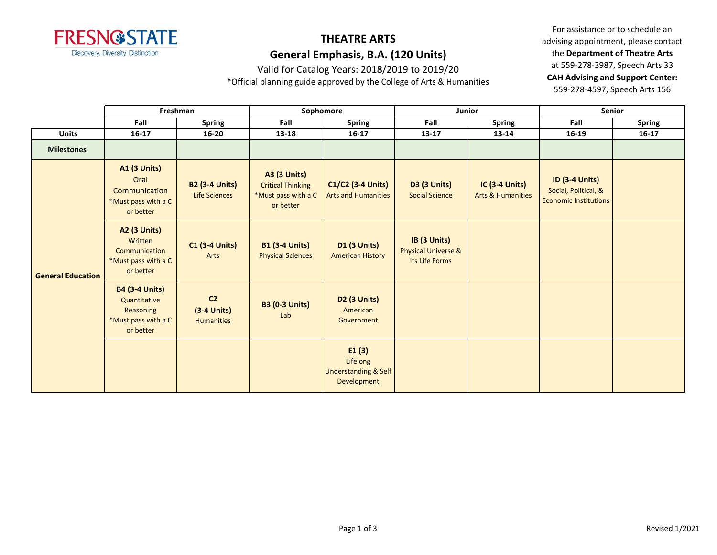

Valid for Catalog Years: 2018/2019 to 2019/20

\*Official planning guide approved by the College of Arts & Humanities

|                          | Freshman                                                                               |                                                      | Sophomore                                                                           |                                                                     | Junior                                                           |                                                       | Senior                                                                        |           |
|--------------------------|----------------------------------------------------------------------------------------|------------------------------------------------------|-------------------------------------------------------------------------------------|---------------------------------------------------------------------|------------------------------------------------------------------|-------------------------------------------------------|-------------------------------------------------------------------------------|-----------|
|                          | Fall                                                                                   | <b>Spring</b>                                        | Fall<br><b>Spring</b>                                                               |                                                                     | Fall                                                             | Spring                                                | Fall                                                                          | Spring    |
| <b>Units</b>             | $16-17$                                                                                | $16 - 20$                                            | 13-18                                                                               | $16 - 17$                                                           | $13 - 17$                                                        | 13-14                                                 | $16 - 19$                                                                     | $16 - 17$ |
| <b>Milestones</b>        |                                                                                        |                                                      |                                                                                     |                                                                     |                                                                  |                                                       |                                                                               |           |
|                          | <b>A1 (3 Units)</b><br>Oral<br>Communication<br>*Must pass with a C<br>or better       | <b>B2 (3-4 Units)</b><br><b>Life Sciences</b>        | <b>A3 (3 Units)</b><br><b>Critical Thinking</b><br>*Must pass with a C<br>or better | $C1/C2$ (3-4 Units)<br><b>Arts and Humanities</b>                   | <b>D3 (3 Units)</b><br><b>Social Science</b>                     | <b>IC (3-4 Units)</b><br><b>Arts &amp; Humanities</b> | <b>ID (3-4 Units)</b><br>Social, Political, &<br><b>Economic Institutions</b> |           |
| <b>General Education</b> | <b>A2 (3 Units)</b><br>Written<br>Communication<br>*Must pass with a C<br>or better    | $C1$ (3-4 Units)<br>Arts                             | <b>B1 (3-4 Units)</b><br><b>Physical Sciences</b>                                   | <b>D1 (3 Units)</b><br><b>American History</b>                      | IB (3 Units)<br><b>Physical Universe &amp;</b><br>Its Life Forms |                                                       |                                                                               |           |
|                          | <b>B4 (3-4 Units)</b><br>Quantitative<br>Reasoning<br>*Must pass with a C<br>or better | C <sub>2</sub><br>$(3-4$ Units)<br><b>Humanities</b> | <b>B3 (0-3 Units)</b><br>Lab                                                        | <b>D2 (3 Units)</b><br>American<br>Government                       |                                                                  |                                                       |                                                                               |           |
|                          |                                                                                        |                                                      |                                                                                     | E1(3)<br>Lifelong<br><b>Understanding &amp; Self</b><br>Development |                                                                  |                                                       |                                                                               |           |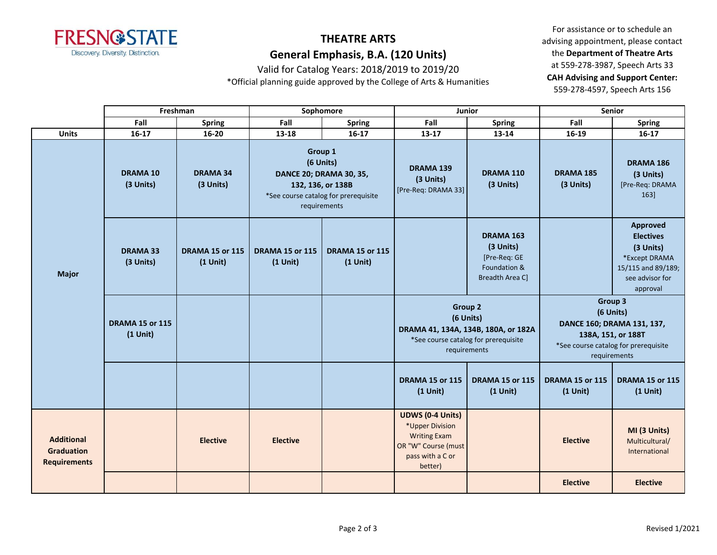

Valid for Catalog Years: 2018/2019 to 2019/20

\*Official planning guide approved by the College of Arts & Humanities

|  |                                                               |                                      | Freshman                                                                                                                            |                                      | Sophomore                                            | Junior                                                                                                                     |                                                                           | <b>Senior</b>                                                                                                                    |                                                                                                                 |
|--|---------------------------------------------------------------|--------------------------------------|-------------------------------------------------------------------------------------------------------------------------------------|--------------------------------------|------------------------------------------------------|----------------------------------------------------------------------------------------------------------------------------|---------------------------------------------------------------------------|----------------------------------------------------------------------------------------------------------------------------------|-----------------------------------------------------------------------------------------------------------------|
|  |                                                               | Fall                                 | <b>Spring</b>                                                                                                                       | Fall                                 | <b>Spring</b>                                        | Fall                                                                                                                       | <b>Spring</b>                                                             | Fall                                                                                                                             | <b>Spring</b>                                                                                                   |
|  | <b>Units</b>                                                  | $16 - 17$                            | $16 - 20$                                                                                                                           | 13-18                                | $16 - 17$                                            | $13 - 17$                                                                                                                  | 13-14                                                                     | 16-19                                                                                                                            | $16-17$                                                                                                         |
|  | <b>DRAMA 10</b><br>(3 Units)                                  | <b>DRAMA 34</b><br>(3 Units)         | Group 1<br>(6 Units)<br><b>DANCE 20; DRAMA 30, 35,</b><br>132, 136, or 138B<br>*See course catalog for prerequisite<br>requirements |                                      | <b>DRAMA 139</b><br>(3 Units)<br>[Pre-Req: DRAMA 33] | DRAMA 110<br>(3 Units)                                                                                                     | <b>DRAMA 185</b><br>(3 Units)                                             | <b>DRAMA 186</b><br>(3 Units)<br>[Pre-Req: DRAMA<br>163]                                                                         |                                                                                                                 |
|  | <b>Major</b>                                                  | <b>DRAMA 33</b><br>(3 Units)         | <b>DRAMA 15 or 115</b><br>$(1$ Unit)                                                                                                | <b>DRAMA 15 or 115</b><br>$(1$ Unit) | <b>DRAMA 15 or 115</b><br>$(1$ Unit)                 |                                                                                                                            | DRAMA 163<br>(3 Units)<br>[Pre-Req: GE<br>Foundation &<br>Breadth Area C] |                                                                                                                                  | Approved<br><b>Electives</b><br>(3 Units)<br>*Except DRAMA<br>15/115 and 89/189;<br>see advisor for<br>approval |
|  |                                                               | <b>DRAMA 15 or 115</b><br>$(1$ Unit) |                                                                                                                                     |                                      |                                                      | <b>Group 2</b><br>(6 Units)<br>DRAMA 41, 134A, 134B, 180A, or 182A<br>*See course catalog for prerequisite<br>requirements |                                                                           | Group 3<br>(6 Units)<br>DANCE 160; DRAMA 131, 137,<br>138A, 151, or 188T<br>*See course catalog for prerequisite<br>requirements |                                                                                                                 |
|  |                                                               |                                      |                                                                                                                                     |                                      |                                                      | <b>DRAMA 15 or 115</b><br>$(1$ Unit)                                                                                       | <b>DRAMA 15 or 115</b><br>$(1$ Unit)                                      | <b>DRAMA 15 or 115</b><br>$(1$ Unit)                                                                                             | <b>DRAMA 15 or 115</b><br>$(1$ Unit)                                                                            |
|  | <b>Additional</b><br><b>Graduation</b><br><b>Requirements</b> |                                      | <b>Elective</b>                                                                                                                     | <b>Elective</b>                      |                                                      | <b>UDWS (0-4 Units)</b><br>*Upper Division<br><b>Writing Exam</b><br>OR "W" Course (must<br>pass with a C or<br>better)    |                                                                           | <b>Elective</b>                                                                                                                  | MI (3 Units)<br>Multicultural/<br>International                                                                 |
|  |                                                               |                                      |                                                                                                                                     |                                      |                                                      |                                                                                                                            |                                                                           | <b>Elective</b>                                                                                                                  | <b>Elective</b>                                                                                                 |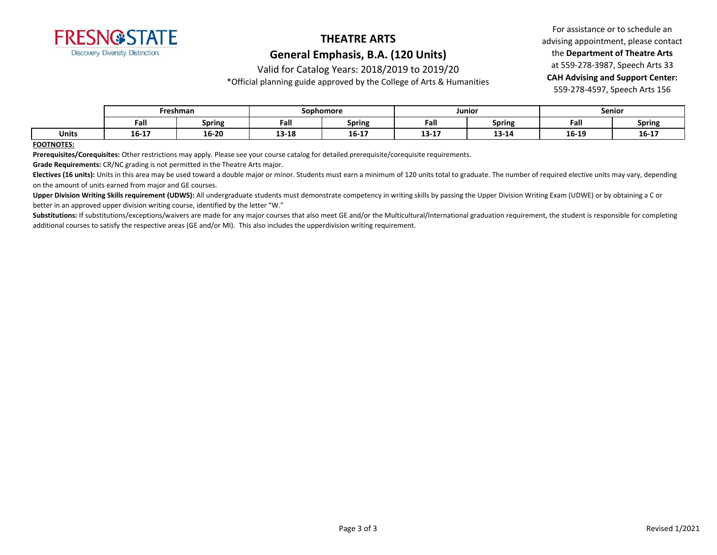

Valid for Catalog Years: 2018/2019 to 2019/20

\*Official planning guide approved by the College of Arts & Humanities

For assistance or to schedule an advising appointment, please contact the **Department of Theatre Arts** at 559-278-3987, Speech Arts 33 **CAH Advising and Support Center:**  559-278-4597, Speech Arts 156

|              |       | Freshman      | Sophomore      |                                   | Junior         |               | Senior |               |
|--------------|-------|---------------|----------------|-----------------------------------|----------------|---------------|--------|---------------|
|              | Fall  | <b>Spring</b> | Fall           | <b>Spring</b>                     | - -<br>Fall    | <b>Spring</b> | Fall   | <b>Spring</b> |
| <b>Units</b> | 16-17 | 16-20         | 12.10<br>T2-T0 | $\overline{\phantom{a}}$<br>16-17 | 12.17<br>19-TV | 13-14         | 16-19  | $16 - 17$     |

#### **FOOTNOTES:**

**Prerequisites/Corequisites:** Other restrictions may apply. Please see your course catalog for detailed prerequisite/corequisite requirements.

**Grade Requirements:** CR/NC grading is not permitted in the Theatre Arts major.

Electives (16 units): Units in this area may be used toward a double major or minor. Students must earn a minimum of 120 units total to graduate. The number of required elective units may vary, depending on the amount of units earned from major and GE courses.

Upper Division Writing Skills requirement (UDWS): All undergraduate students must demonstrate competency in writing skills by passing the Upper Division Writing Exam (UDWE) or by obtaining a C or better in an approved upper division writing course, identified by the letter "W."

Substitutions: If substitutions/exceptions/waivers are made for any major courses that also meet GE and/or the Multicultural/International graduation requirement, the student is responsible for completing additional courses to satisfy the respective areas (GE and/or MI). This also includes the upperdivision writing requirement.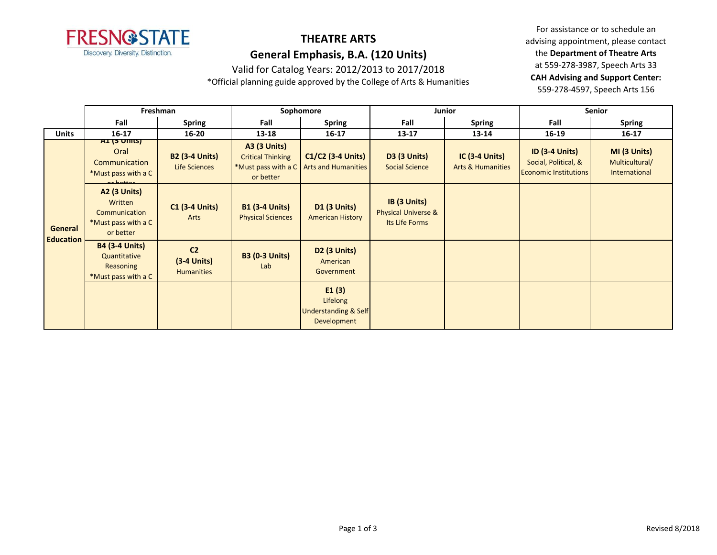

Valid for Catalog Years: 2012/2013 to 2017/2018

\*Official planning guide approved by the College of Arts & Humanities

|                  | Freshman                                                                            |                                                      | Sophomore                                                                           |                                                                     | Junior                                                           |                                                       | <b>Senior</b>                                                                 |                                                 |
|------------------|-------------------------------------------------------------------------------------|------------------------------------------------------|-------------------------------------------------------------------------------------|---------------------------------------------------------------------|------------------------------------------------------------------|-------------------------------------------------------|-------------------------------------------------------------------------------|-------------------------------------------------|
|                  | Fall                                                                                | <b>Spring</b>                                        | Fall                                                                                | <b>Spring</b>                                                       | Fall                                                             | <b>Spring</b>                                         | Fall                                                                          | <b>Spring</b>                                   |
| <b>Units</b>     | $16 - 17$                                                                           | $16 - 20$                                            | 13-18                                                                               | $16 - 17$                                                           | $13 - 17$                                                        | 13-14                                                 | $16-19$                                                                       | $16 - 17$                                       |
|                  | AI (3 UMIS)<br>Oral<br>Communication<br>*Must pass with a C<br>$\alpha$ hattor      | <b>B2 (3-4 Units)</b><br>Life Sciences               | <b>A3 (3 Units)</b><br><b>Critical Thinking</b><br>*Must pass with a C<br>or better | $C1/C2$ (3-4 Units)<br><b>Arts and Humanities</b>                   | <b>D3 (3 Units)</b><br><b>Social Science</b>                     | <b>IC (3-4 Units)</b><br><b>Arts &amp; Humanities</b> | <b>ID (3-4 Units)</b><br>Social, Political, &<br><b>Economic Institutions</b> | MI (3 Units)<br>Multicultural/<br>International |
| General          | <b>A2 (3 Units)</b><br>Written<br>Communication<br>*Must pass with a C<br>or better | <b>C1 (3-4 Units)</b><br>Arts                        | <b>B1 (3-4 Units)</b><br><b>Physical Sciences</b>                                   | <b>D1 (3 Units)</b><br><b>American History</b>                      | IB (3 Units)<br><b>Physical Universe &amp;</b><br>Its Life Forms |                                                       |                                                                               |                                                 |
| <b>Education</b> | <b>B4 (3-4 Units)</b><br>Quantitative<br>Reasoning<br>*Must pass with a C           | C <sub>2</sub><br>$(3-4$ Units)<br><b>Humanities</b> | <b>B3 (0-3 Units)</b><br>Lab                                                        | D <sub>2</sub> (3 Units)<br>American<br>Government                  |                                                                  |                                                       |                                                                               |                                                 |
|                  |                                                                                     |                                                      |                                                                                     | E1(3)<br>Lifelong<br><b>Understanding &amp; Self</b><br>Development |                                                                  |                                                       |                                                                               |                                                 |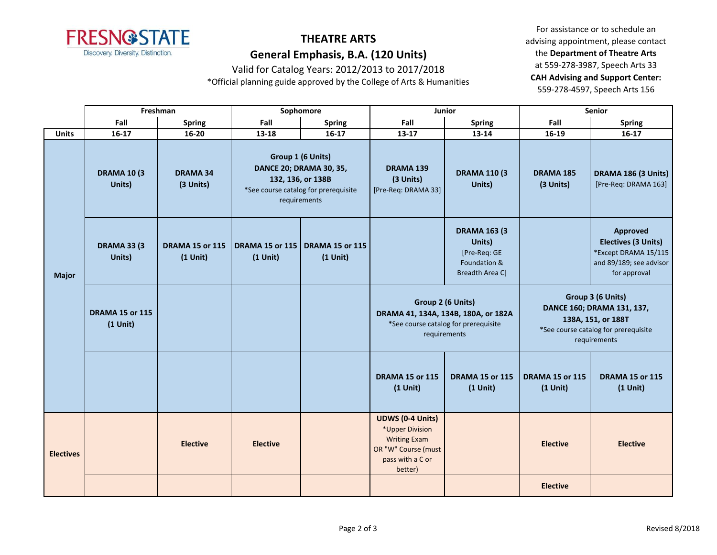

Valid for Catalog Years: 2012/2013 to 2017/2018

\*Official planning guide approved by the College of Arts & Humanities

|                  | Freshman                             |                                      | Sophomore                              |                                                                                        | Junior                                                                                                                  |                                                                                         | <b>Senior</b>                                                                                                                 |                                                                                                           |
|------------------|--------------------------------------|--------------------------------------|----------------------------------------|----------------------------------------------------------------------------------------|-------------------------------------------------------------------------------------------------------------------------|-----------------------------------------------------------------------------------------|-------------------------------------------------------------------------------------------------------------------------------|-----------------------------------------------------------------------------------------------------------|
|                  | Fall                                 | <b>Spring</b>                        | Fall                                   | <b>Spring</b>                                                                          | Fall                                                                                                                    | <b>Spring</b>                                                                           | Fall                                                                                                                          | <b>Spring</b>                                                                                             |
| <b>Units</b>     | $16 - 17$                            | $16 - 20$                            | 13-18                                  | $16-17$                                                                                | $13 - 17$                                                                                                               | 13-14                                                                                   | 16-19                                                                                                                         | $16-17$                                                                                                   |
|                  | <b>DRAMA 10 (3)</b><br>Units)        | <b>DRAMA 34</b><br>(3 Units)         | Group 1 (6 Units)<br>132, 136, or 138B | <b>DANCE 20; DRAMA 30, 35,</b><br>*See course catalog for prerequisite<br>requirements | <b>DRAMA 139</b><br>(3 Units)<br>[Pre-Req: DRAMA 33]                                                                    | <b>DRAMA 110 (3)</b><br>Units)                                                          | <b>DRAMA 185</b><br>(3 Units)                                                                                                 | DRAMA 186 (3 Units)<br>[Pre-Req: DRAMA 163]                                                               |
| <b>Major</b>     | <b>DRAMA 33 (3)</b><br>Units)        | <b>DRAMA 15 or 115</b><br>$(1$ Unit) | <b>DRAMA 15 or 115</b><br>$(1$ Unit)   | <b>DRAMA 15 or 115</b><br>$(1$ Unit)                                                   |                                                                                                                         | <b>DRAMA 163 (3</b><br>Units)<br>[Pre-Req: GE<br>Foundation &<br><b>Breadth Area Cl</b> |                                                                                                                               | Approved<br><b>Electives (3 Units)</b><br>*Except DRAMA 15/115<br>and 89/189; see advisor<br>for approval |
| <b>Electives</b> | <b>DRAMA 15 or 115</b><br>$(1$ Unit) |                                      |                                        |                                                                                        | Group 2 (6 Units)<br>DRAMA 41, 134A, 134B, 180A, or 182A<br>*See course catalog for prerequisite<br>requirements        |                                                                                         | Group 3 (6 Units)<br>DANCE 160; DRAMA 131, 137,<br>138A, 151, or 188T<br>*See course catalog for prerequisite<br>requirements |                                                                                                           |
|                  |                                      |                                      |                                        |                                                                                        | <b>DRAMA 15 or 115</b><br>$(1$ Unit)                                                                                    | <b>DRAMA 15 or 115</b><br>$(1$ Unit)                                                    | <b>DRAMA 15 or 115</b><br>$(1$ Unit)                                                                                          | <b>DRAMA 15 or 115</b><br>$(1$ Unit)                                                                      |
|                  |                                      | <b>Elective</b>                      | <b>Elective</b>                        |                                                                                        | <b>UDWS (0-4 Units)</b><br>*Upper Division<br><b>Writing Exam</b><br>OR "W" Course (must<br>pass with a C or<br>better) |                                                                                         | <b>Elective</b>                                                                                                               | <b>Elective</b>                                                                                           |
|                  |                                      |                                      |                                        |                                                                                        |                                                                                                                         |                                                                                         | <b>Elective</b>                                                                                                               |                                                                                                           |